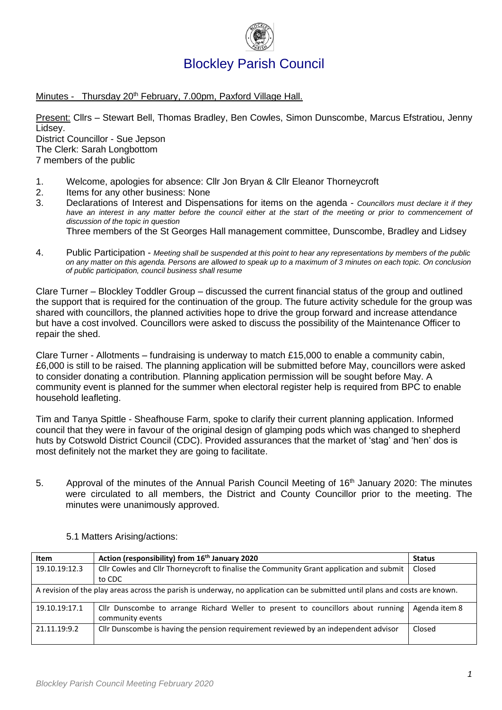

Minutes - Thursday 20<sup>th</sup> February, 7.00pm, Paxford Village Hall.

Present: Cllrs – Stewart Bell, Thomas Bradley, Ben Cowles, Simon Dunscombe, Marcus Efstratiou, Jenny Lidsey. District Councillor - Sue Jepson The Clerk: Sarah Longbottom

7 members of the public

- 1. Welcome, apologies for absence: Cllr Jon Bryan & Cllr Eleanor Thorneycroft
- 2. Items for any other business: None
- 3. Declarations of Interest and Dispensations for items on the agenda *Councillors must declare it if they*  have an interest in any matter before the council either at the start of the meeting or prior to commencement of *discussion of the topic in question*

Three members of the St Georges Hall management committee, Dunscombe, Bradley and Lidsey

4. Public Participation - *Meeting shall be suspended at this point to hear any representations by members of the public on any matter on this agenda. Persons are allowed to speak up to a maximum of 3 minutes on each topic. On conclusion of public participation, council business shall resume*

Clare Turner – Blockley Toddler Group – discussed the current financial status of the group and outlined the support that is required for the continuation of the group. The future activity schedule for the group was shared with councillors, the planned activities hope to drive the group forward and increase attendance but have a cost involved. Councillors were asked to discuss the possibility of the Maintenance Officer to repair the shed.

Clare Turner - Allotments – fundraising is underway to match £15,000 to enable a community cabin, £6,000 is still to be raised. The planning application will be submitted before May, councillors were asked to consider donating a contribution. Planning application permission will be sought before May. A community event is planned for the summer when electoral register help is required from BPC to enable household leafleting.

Tim and Tanya Spittle - Sheafhouse Farm, spoke to clarify their current planning application. Informed council that they were in favour of the original design of glamping pods which was changed to shepherd huts by Cotswold District Council (CDC). Provided assurances that the market of 'stag' and 'hen' dos is most definitely not the market they are going to facilitate.

5. Approval of the minutes of the Annual Parish Council Meeting of 16<sup>th</sup> January 2020: The minutes were circulated to all members, the District and County Councillor prior to the meeting. The minutes were unanimously approved.

| Item                                                                                                                         | Action (responsibility) from 16 <sup>th</sup> January 2020                                           | <b>Status</b> |
|------------------------------------------------------------------------------------------------------------------------------|------------------------------------------------------------------------------------------------------|---------------|
| 19.10.19:12.3                                                                                                                | Cllr Cowles and Cllr Thorneycroft to finalise the Community Grant application and submit             | Closed        |
|                                                                                                                              | to CDC                                                                                               |               |
| A revision of the play areas across the parish is underway, no application can be submitted until plans and costs are known. |                                                                                                      |               |
| 19.10.19:17.1                                                                                                                | Cllr Dunscombe to arrange Richard Weller to present to councillors about running<br>community events | Agenda item 8 |
| 21.11.19:9.2                                                                                                                 | Cllr Dunscombe is having the pension requirement reviewed by an independent advisor                  | Closed        |

5.1 Matters Arising/actions: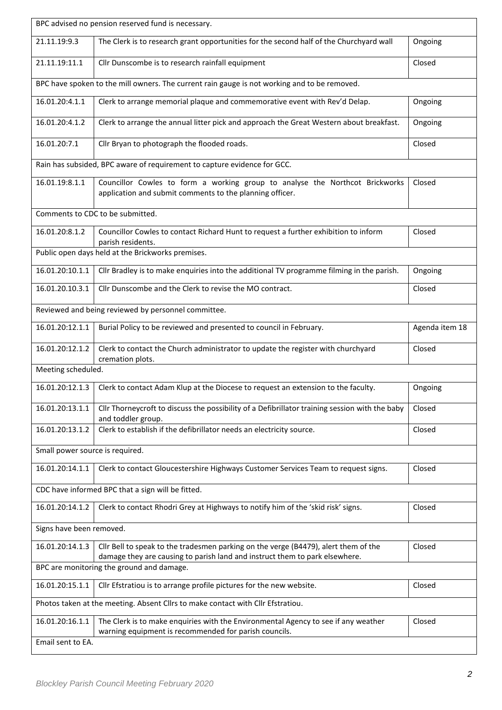| BPC advised no pension reserved fund is necessary.                              |                                                                                                                                                                    |                |  |  |
|---------------------------------------------------------------------------------|--------------------------------------------------------------------------------------------------------------------------------------------------------------------|----------------|--|--|
| 21.11.19:9.3                                                                    | The Clerk is to research grant opportunities for the second half of the Churchyard wall                                                                            | Ongoing        |  |  |
| 21.11.19:11.1                                                                   | Cllr Dunscombe is to research rainfall equipment                                                                                                                   | Closed         |  |  |
|                                                                                 | BPC have spoken to the mill owners. The current rain gauge is not working and to be removed.                                                                       |                |  |  |
| 16.01.20:4.1.1                                                                  | Clerk to arrange memorial plaque and commemorative event with Rev'd Delap.                                                                                         | Ongoing        |  |  |
| 16.01.20:4.1.2                                                                  | Clerk to arrange the annual litter pick and approach the Great Western about breakfast.                                                                            | Ongoing        |  |  |
| 16.01.20:7.1                                                                    | Cllr Bryan to photograph the flooded roads.                                                                                                                        | Closed         |  |  |
|                                                                                 | Rain has subsided, BPC aware of requirement to capture evidence for GCC.                                                                                           |                |  |  |
| 16.01.19:8.1.1                                                                  | Councillor Cowles to form a working group to analyse the Northcot Brickworks<br>application and submit comments to the planning officer.                           | Closed         |  |  |
|                                                                                 | Comments to CDC to be submitted.                                                                                                                                   |                |  |  |
| 16.01.20:8.1.2                                                                  | Councillor Cowles to contact Richard Hunt to request a further exhibition to inform<br>parish residents.                                                           | Closed         |  |  |
|                                                                                 | Public open days held at the Brickworks premises.                                                                                                                  |                |  |  |
| 16.01.20:10.1.1                                                                 | Cllr Bradley is to make enquiries into the additional TV programme filming in the parish.                                                                          | Ongoing        |  |  |
| 16.01.20.10.3.1                                                                 | Cllr Dunscombe and the Clerk to revise the MO contract.                                                                                                            | Closed         |  |  |
|                                                                                 | Reviewed and being reviewed by personnel committee.                                                                                                                |                |  |  |
| 16.01.20:12.1.1                                                                 | Burial Policy to be reviewed and presented to council in February.                                                                                                 | Agenda item 18 |  |  |
| 16.01.20:12.1.2                                                                 | Clerk to contact the Church administrator to update the register with churchyard<br>cremation plots.                                                               | Closed         |  |  |
| Meeting scheduled.                                                              |                                                                                                                                                                    |                |  |  |
| 16.01.20:12.1.3                                                                 | Clerk to contact Adam Klup at the Diocese to request an extension to the faculty.                                                                                  | Ongoing        |  |  |
| 16.01.20:13.1.1                                                                 | Cllr Thorneycroft to discuss the possibility of a Defibrillator training session with the baby<br>and toddler group.                                               | Closed         |  |  |
| 16.01.20:13.1.2                                                                 | Clerk to establish if the defibrillator needs an electricity source.                                                                                               | Closed         |  |  |
| Small power source is required.                                                 |                                                                                                                                                                    |                |  |  |
| 16.01.20:14.1.1                                                                 | Clerk to contact Gloucestershire Highways Customer Services Team to request signs.                                                                                 | Closed         |  |  |
|                                                                                 | CDC have informed BPC that a sign will be fitted.                                                                                                                  |                |  |  |
| 16.01.20:14.1.2                                                                 | Clerk to contact Rhodri Grey at Highways to notify him of the 'skid risk' signs.                                                                                   | Closed         |  |  |
| Signs have been removed.                                                        |                                                                                                                                                                    |                |  |  |
| 16.01.20:14.1.3                                                                 | Cllr Bell to speak to the tradesmen parking on the verge (B4479), alert them of the<br>damage they are causing to parish land and instruct them to park elsewhere. | Closed         |  |  |
| BPC are monitoring the ground and damage.                                       |                                                                                                                                                                    |                |  |  |
| 16.01.20:15.1.1                                                                 | Cllr Efstratiou is to arrange profile pictures for the new website.                                                                                                | Closed         |  |  |
| Photos taken at the meeting. Absent Cllrs to make contact with Cllr Efstratiou. |                                                                                                                                                                    |                |  |  |
| 16.01.20:16.1.1                                                                 | The Clerk is to make enquiries with the Environmental Agency to see if any weather<br>warning equipment is recommended for parish councils.                        | Closed         |  |  |
| Email sent to EA.                                                               |                                                                                                                                                                    |                |  |  |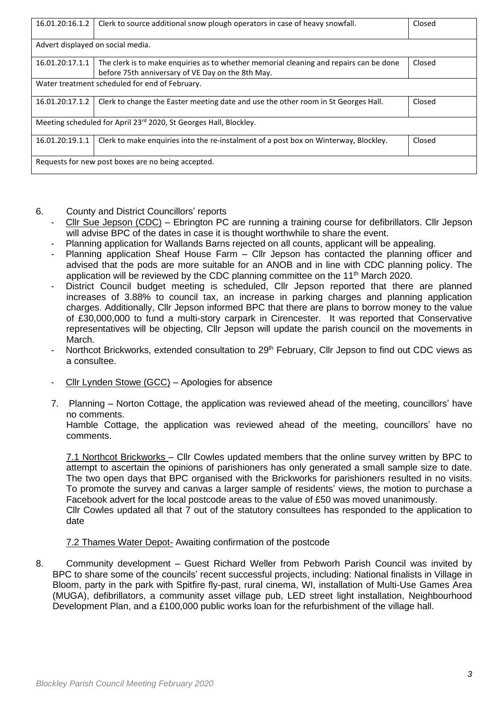| 16.01.20:16.1.2                                                   | Clerk to source additional snow plough operators in case of heavy snowfall.                                                                 | Closed |  |
|-------------------------------------------------------------------|---------------------------------------------------------------------------------------------------------------------------------------------|--------|--|
| Advert displayed on social media.                                 |                                                                                                                                             |        |  |
| 16.01.20:17.1.1                                                   | The clerk is to make enguiries as to whether memorial cleaning and repairs can be done<br>before 75th anniversary of VE Day on the 8th May. | Closed |  |
| Water treatment scheduled for end of February.                    |                                                                                                                                             |        |  |
| 16.01.20:17.1.2                                                   | Clerk to change the Easter meeting date and use the other room in St Georges Hall.                                                          | Closed |  |
| Meeting scheduled for April 23rd 2020, St Georges Hall, Blockley. |                                                                                                                                             |        |  |
| 16.01.20:19.1.1                                                   | Clerk to make enquiries into the re-instalment of a post box on Winterway, Blockley.                                                        | Closed |  |
| Requests for new post boxes are no being accepted.                |                                                                                                                                             |        |  |

## 6. County and District Councillors' reports

- Cllr Sue Jepson (CDC) Ebrington PC are running a training course for defibrillators. Cllr Jepson will advise BPC of the dates in case it is thought worthwhile to share the event.
- Planning application for Wallands Barns rejected on all counts, applicant will be appealing.
- Planning application Sheaf House Farm Cllr Jepson has contacted the planning officer and advised that the pods are more suitable for an ANOB and in line with CDC planning policy. The application will be reviewed by the CDC planning committee on the 11<sup>th</sup> March 2020.
- District Council budget meeting is scheduled, Cllr Jepson reported that there are planned increases of 3.88% to council tax, an increase in parking charges and planning application charges. Additionally, Cllr Jepson informed BPC that there are plans to borrow money to the value of £30,000,000 to fund a multi-story carpark in Cirencester. It was reported that Conservative representatives will be objecting, Cllr Jepson will update the parish council on the movements in March.
- Northcot Brickworks, extended consultation to 29<sup>th</sup> February, Cllr Jepson to find out CDC views as a consultee.
- $Cllr$  Lynden Stowe (GCC) Apologies for absence
- 7. Planning Norton Cottage, the application was reviewed ahead of the meeting, councillors' have no comments.

Hamble Cottage, the application was reviewed ahead of the meeting, councillors' have no comments.

7.1 Northcot Brickworks – Cllr Cowles updated members that the online survey written by BPC to attempt to ascertain the opinions of parishioners has only generated a small sample size to date. The two open days that BPC organised with the Brickworks for parishioners resulted in no visits. To promote the survey and canvas a larger sample of residents' views, the motion to purchase a Facebook advert for the local postcode areas to the value of £50 was moved unanimously. Cllr Cowles updated all that 7 out of the statutory consultees has responded to the application to date

## 7.2 Thames Water Depot- Awaiting confirmation of the postcode

8. Community development – Guest Richard Weller from Pebworh Parish Council was invited by BPC to share some of the councils' recent successful projects, including: National finalists in Village in Bloom, party in the park with Spitfire fly-past, rural cinema, WI, installation of Multi-Use Games Area (MUGA), defibrillators, a community asset village pub, LED street light installation, Neighbourhood Development Plan, and a £100,000 public works loan for the refurbishment of the village hall.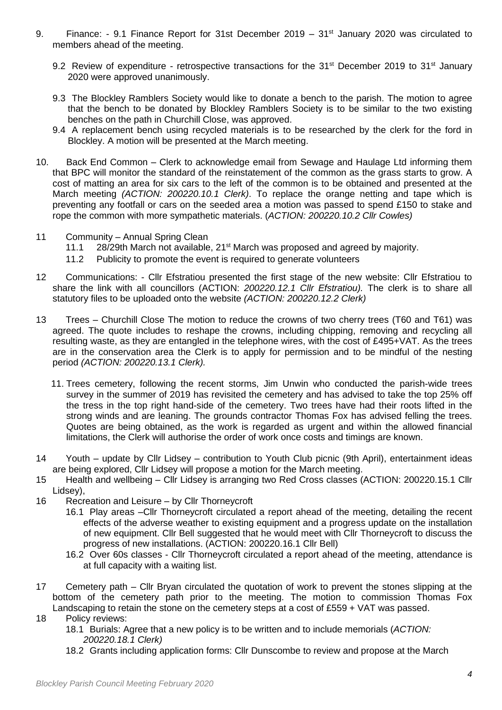- 9. Finance: 9.1 Finance Report for 31st December 2019 31<sup>st</sup> January 2020 was circulated to members ahead of the meeting.
	- 9.2 Review of expenditure retrospective transactions for the 31<sup>st</sup> December 2019 to 31<sup>st</sup> January 2020 were approved unanimously.
	- 9.3 The Blockley Ramblers Society would like to donate a bench to the parish. The motion to agree that the bench to be donated by Blockley Ramblers Society is to be similar to the two existing benches on the path in Churchill Close, was approved.
	- 9.4 A replacement bench using recycled materials is to be researched by the clerk for the ford in Blockley. A motion will be presented at the March meeting.
- 10. Back End Common Clerk to acknowledge email from Sewage and Haulage Ltd informing them that BPC will monitor the standard of the reinstatement of the common as the grass starts to grow. A cost of matting an area for six cars to the left of the common is to be obtained and presented at the March meeting *(ACTION: 200220.10.1 Clerk)*. To replace the orange netting and tape which is preventing any footfall or cars on the seeded area a motion was passed to spend £150 to stake and rope the common with more sympathetic materials. (*ACTION: 200220.10.2 Cllr Cowles)*
- 11 Community Annual Spring Clean
	- 11.1 28/29th March not available, 21st March was proposed and agreed by majority.
	- 11.2 Publicity to promote the event is required to generate volunteers
- 12 Communications: Cllr Efstratiou presented the first stage of the new website: Cllr Efstratiou to share the link with all councillors (ACTION: *200220.12.1 Cllr Efstratiou).* The clerk is to share all statutory files to be uploaded onto the website *(ACTION: 200220.12.2 Clerk)*
- 13 Trees Churchill Close The motion to reduce the crowns of two cherry trees (T60 and T61) was agreed. The quote includes to reshape the crowns, including chipping, removing and recycling all resulting waste, as they are entangled in the telephone wires, with the cost of £495+VAT. As the trees are in the conservation area the Clerk is to apply for permission and to be mindful of the nesting period *(ACTION: 200220.13.1 Clerk).*
	- 11. Trees cemetery, following the recent storms, Jim Unwin who conducted the parish-wide trees survey in the summer of 2019 has revisited the cemetery and has advised to take the top 25% off the tress in the top right hand-side of the cemetery. Two trees have had their roots lifted in the strong winds and are leaning. The grounds contractor Thomas Fox has advised felling the trees. Quotes are being obtained, as the work is regarded as urgent and within the allowed financial limitations, the Clerk will authorise the order of work once costs and timings are known.
- 14 Youth update by Cllr Lidsey contribution to Youth Club picnic (9th April), entertainment ideas are being explored, Cllr Lidsey will propose a motion for the March meeting.
- 15 Health and wellbeing Cllr Lidsey is arranging two Red Cross classes (ACTION: 200220.15.1 Cllr Lidsey),
- 16 Recreation and Leisure by Cllr Thorneycroft
	- 16.1 Play areas –Cllr Thorneycroft circulated a report ahead of the meeting, detailing the recent effects of the adverse weather to existing equipment and a progress update on the installation of new equipment. Cllr Bell suggested that he would meet with Cllr Thorneycroft to discuss the progress of new installations. (ACTION: 200220.16.1 Cllr Bell)
	- 16.2 Over 60s classes Cllr Thorneycroft circulated a report ahead of the meeting, attendance is at full capacity with a waiting list.
- 17 Cemetery path Cllr Bryan circulated the quotation of work to prevent the stones slipping at the bottom of the cemetery path prior to the meeting. The motion to commission Thomas Fox Landscaping to retain the stone on the cemetery steps at a cost of £559 + VAT was passed.
- 18 Policy reviews:
	- 18.1 Burials: Agree that a new policy is to be written and to include memorials (*ACTION: 200220.18.1 Clerk)*
	- 18.2 Grants including application forms: Cllr Dunscombe to review and propose at the March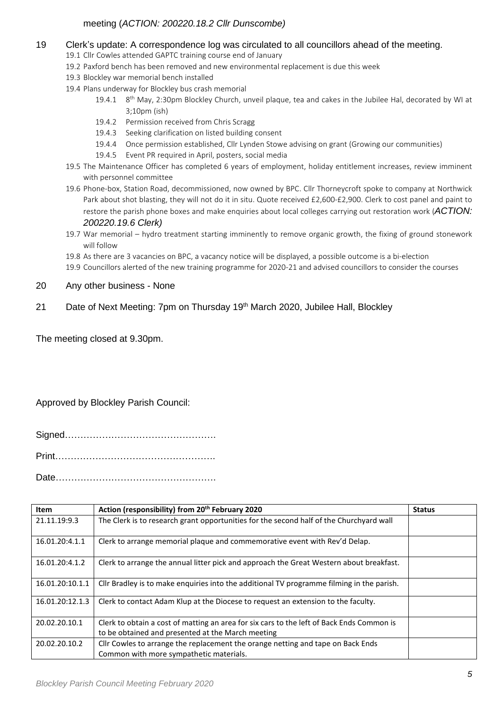## meeting (*ACTION: 200220.18.2 Cllr Dunscombe)*

- 19 Clerk's update: A correspondence log was circulated to all councillors ahead of the meeting.
	- 19.1 Cllr Cowles attended GAPTC training course end of January
	- 19.2 Paxford bench has been removed and new environmental replacement is due this week
	- 19.3 Blockley war memorial bench installed
	- 19.4 Plans underway for Blockley bus crash memorial
		- 19.4.1 8<sup>th</sup> May, 2:30pm Blockley Church, unveil plaque, tea and cakes in the Jubilee Hal, decorated by WI at 3;10pm (ish)
		- 19.4.2 Permission received from Chris Scragg
		- 19.4.3 Seeking clarification on listed building consent
		- 19.4.4 Once permission established, Cllr Lynden Stowe advising on grant (Growing our communities)
		- 19.4.5 Event PR required in April, posters, social media
	- 19.5 The Maintenance Officer has completed 6 years of employment, holiday entitlement increases, review imminent with personnel committee
	- 19.6 Phone-box, Station Road, decommissioned, now owned by BPC. Cllr Thorneycroft spoke to company at Northwick Park about shot blasting, they will not do it in situ. Quote received £2,600-£2,900. Clerk to cost panel and paint to restore the parish phone boxes and make enquiries about local colleges carrying out restoration work (*ACTION: 200220.19.6 Clerk)*
	- 19.7 War memorial hydro treatment starting imminently to remove organic growth, the fixing of ground stonework will follow
	- 19.8 As there are 3 vacancies on BPC, a vacancy notice will be displayed, a possible outcome is a bi-election
	- 19.9 Councillors alerted of the new training programme for 2020-21 and advised councillors to consider the courses
- 20 Any other business None
- 21 Date of Next Meeting: 7pm on Thursday 19<sup>th</sup> March 2020, Jubilee Hall, Blockley

The meeting closed at 9.30pm.

Approved by Blockley Parish Council:

Signed…………………………………………. Print……………………………………………. Date…………………………………………….

| <b>Item</b>     | Action (responsibility) from 20 <sup>th</sup> February 2020                                                                                    | <b>Status</b> |
|-----------------|------------------------------------------------------------------------------------------------------------------------------------------------|---------------|
| 21.11.19:9.3    | The Clerk is to research grant opportunities for the second half of the Churchyard wall                                                        |               |
| 16.01.20:4.1.1  | Clerk to arrange memorial plaque and commemorative event with Rev'd Delap.                                                                     |               |
| 16.01.20:4.1.2  | Clerk to arrange the annual litter pick and approach the Great Western about breakfast.                                                        |               |
| 16.01.20:10.1.1 | Cllr Bradley is to make enquiries into the additional TV programme filming in the parish.                                                      |               |
| 16.01.20:12.1.3 | Clerk to contact Adam Klup at the Diocese to request an extension to the faculty.                                                              |               |
| 20.02.20.10.1   | Clerk to obtain a cost of matting an area for six cars to the left of Back Ends Common is<br>to be obtained and presented at the March meeting |               |
| 20.02.20.10.2   | Cllr Cowles to arrange the replacement the orange netting and tape on Back Ends<br>Common with more sympathetic materials.                     |               |